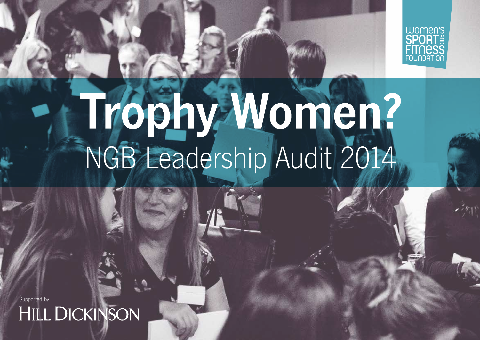

# Trophy Women?<br>NGB Leadership Audit 2014

Supported by<br> **HILL DICKINSON**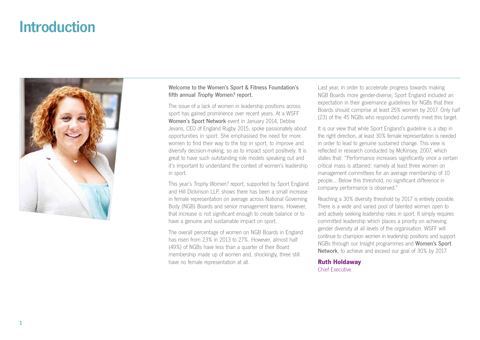# Introduction



# Welcome to the Women's Sport & Fitness Foundation's fifth annual Trophy Women? report.

The issue of a lack of women in leadership positions across sport has gained prominence over recent years. At a WSFF Women's Sport Network event in January 2014, Debbie Jevans, CEO of England Rugby 2015, spoke passionately about opportunities in sport. She emphasised the need for more women to find their way to the top in sport, to improve and diversify decision-making, so as to impact sport positively. It is great to have such outstanding role models speaking out and it's important to understand the context of women's leadership in sport.

This year's Trophy Women? report, supported by Sport England and Hill Dickinson LLP, shows there has been a small increase in female representation on average across National Governing Body (NGB) Boards and senior management teams. However, that increase is not significant enough to create balance or to have a genuine and sustainable impact on sport.

The overall percentage of women on NGB Boards in England has risen from 23% in 2013 to 27%. However, almost half (49%) of NGBs have less than a quarter of their Board membership made up of women and, shockingly, three still have no female representation at all.

Last year, in order to accelerate progress towards making NGB Boards more gender-diverse, Sport England included an expectation in their governance guidelines for NGBs that their Boards should comprise at least 25% women by 2017. Only half (23) of the 45 NGBs who responded currently meet this target.

It is our view that while Sport England's guideline is a step in the right direction, at least 30% female representation is needed in order to lead to genuine sustained change. This view is reflected in research conducted by McKinsey, 2007, which states that: "Performance increases significantly once a certain critical mass is attained: namely at least three women on management committees for an average membership of 10 people… Below this threshold, no significant difference in company performance is observed."

Reaching a 30% diversity threshold by 2017 is entirely possible. There is a wide and varied pool of talented women open to and actively seeking leadership roles in sport. It simply requires committed leadership which places a priority on achieving gender diversity at all levels of the organisation. WSFF will continue to champion women in leadership positions and support NGBs through our Insight programmes and Women's Sport Network, to achieve and exceed our goal of 30% by 2017.

**Ruth Holdaway** Chief Executive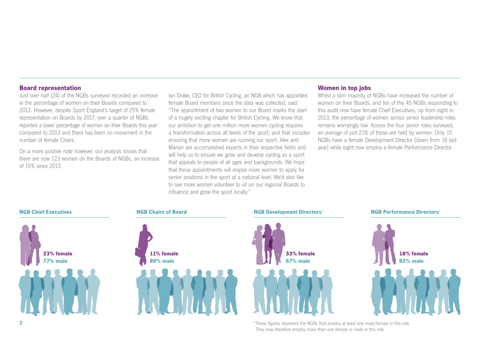## **Board representation**

Just over half (24) of the NGBs surveyed recorded an increase in the percentage of women on their Boards compared to 2013. However, despite Sport England's target of 25% female representation on Boards by 2017, over a quarter of NGBs reported a lower percentage of women on their Boards this year compared to 2013 and there has been no movement in the number of female Chairs.

On a more positive note however, our analysis shows that there are now 123 women on the Boards of NGBs, an increase of 19% since 2013.

Ian Drake, CEO for British Cycling, an NGB which has appointed female Board members since the data was collected, said: "The appointment of two women to our Board marks the start of a hugely exciting chapter for British Cycling. We know that our ambition to get one million more women cycling requires a transformation across all levels of the sport, and that includes ensuring that more women are running our sport. Alex and Marian are accomplished experts in their respective fields and will help us to ensure we grow and develop cycling as a sport that appeals to people of all ages and backgrounds. We hope that these appointments will inspire more women to apply for senior positions in the sport at a national level. We'd also like to see more women volunteer to sit on our regional Boards to influence and grow the sport locally."

# **Women in top jobs**

Whilst a slim majority of NGBs have increased the number of women on their Boards, and ten of the 45 NGBs responding to this audit now have female Chief Executives, up from eight in 2013, the percentage of women across senior leadership roles remains worryingly low. Across the four senior roles surveyed, an average of just 21% of these are held by women. Only 15 NGBs have a female Development Director (down from 18 last year) while eight now employ a female Performance Director.



\*These figures represent the NGBs that employ at least one male/female in this role. They may therefore employ more than one female or male in this role.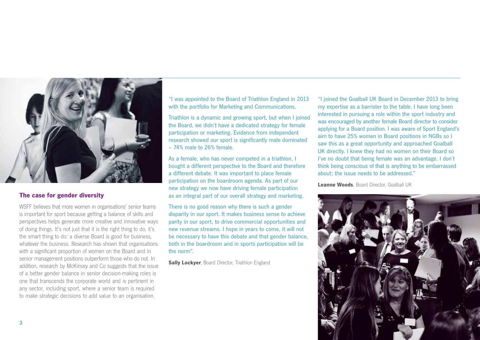

# **The case for gender diversity**

WSFF believes that more women in organisations' senior teams is important for sport because getting a balance of skills and perspectives helps generate more creative and innovative ways of doing things. It's not just that it is the right thing to do, it's the smart thing to do: a diverse Board is good for business, whatever the business. Research has shown that organisations with a significant proportion of women on the Board and in senior management positions outperform those who do not. In addition, research by McKinsey and Co suggests that the issue of a better gender balance in senior decision-making roles is one that transcends the corporate world and is pertinent in any sector, including sport, where a senior team is required to make strategic decisions to add value to an organisation.

"I was appointed to the Board of Triathlon England in 2013 with the portfolio for Marketing and Communications.

Triathlon is a dynamic and growing sport, but when I joined the Board, we didn't have a dedicated strategy for female participation or marketing. Evidence from independent research showed our sport is significantly male dominated – 74% male to 26% female.

As a female, who has never competed in a triathlon, I bought a different perspective to the Board and therefore a different debate. It was important to place female participation on the boardroom agenda. As part of our new strategy we now have driving female participation as an integral part of our overall strategy and marketing.

There is no good reason why there is such a gender disparity in our sport. It makes business sense to achieve parity in our sport, to drive commercial opportunities and new revenue streams. I hope in years to come, it will not be necessary to have this debate and that gender balance, both in the boardroom and in sports participation will be the norm".

**Sally Lockyer**, Board Director, Triathlon England

"I joined the Goalball UK Board in December 2013 to bring my expertise as a barrister to the table. I have long been interested in pursuing a role within the sport industry and was encouraged by another female Board director to consider applying for a Board position. I was aware of Sport England's aim to have 25% women in Board positions in NGBs so I saw this as a great opportunity and approached Goalball UK directly. I knew they had no women on their Board so I've no doubt that being female was an advantage. I don't think being conscious of that is anything to be embarrassed about; the issue needs to be addressed."

**Leanne Woods**, Board Director, Goalball UK

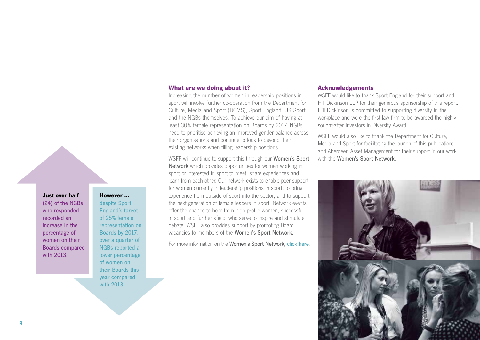#### **Just over half**

(24) of the NGBs who responded recorded an increase in the percentage of women on their Boards compared with 2013.

# **However ...**

despite Sport England's target of 25% female representation on Boards by 2017, over a quarter of NGBs reported a lower percentage of women on their Boards this year compared with 2013.

# **What are we doing about it?**

Increasing the number of women in leadership positions in sport will involve further co-operation from the Department for Culture, Media and Sport (DCMS), Sport England, UK Sport and the NGBs themselves. To achieve our aim of having at least 30% female representation on Boards by 2017, NGBs need to prioritise achieving an improved gender balance across their organisations and continue to look to beyond their existing networks when filling leadership positions.

WSFF will continue to support this through our **Women's Sport** Network which provides opportunities for women working in sport or interested in sport to meet, share experiences and learn from each other. Our network exists to enable peer support for women currently in leadership positions in sport; to bring experience from outside of sport into the sector; and to support the next generation of female leaders in sport. Network events offer the chance to hear from high profile women, successful in sport and further afield, who serve to inspire and stimulate debate. WSFF also provides support by promoting Board vacancies to members of the Women's Sport Network.

For more information on the Women's Sport Network, [click here](http://www.wsff.org.uk/get-involved/womens-sport-network/about).

## **Acknowledgements**

WSFF would like to thank Sport England for their support and Hill Dickinson LLP for their generous sponsorship of this report. Hill Dickinson is committed to supporting diversity in the workplace and were the first law firm to be awarded the highly sought-after Investors in Diversity Award.

WSFF would also like to thank the Department for Culture, Media and Sport for facilitating the launch of this publication; and Aberdeen Asset Management for their support in our work with the Women's Sport Network.

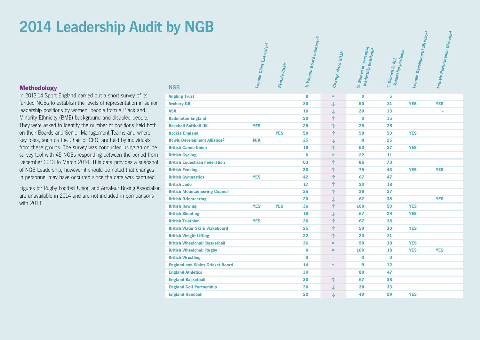# 2014 Leadership Audit by NGB

# **Methodology**

In 2013-14 Sport England carried out a short survey of its funded NGBs to establish the levels of representation in senior leadership positions by women, people from a Black and Minority Ethnicity (BME) background and disabled people. They were asked to identify the number of positions held both on their Boards and Senior Management Teams and where key roles, such as the Chair or CEO, are held by individuals from these groups. The survey was conducted using an online survey tool with 45 NGBs responding between the period from December 2013 to March 2014. This data provides a snapshot of NGB Leadership, however it should be noted that changes in personnel may have occurred since the data was captured.

Figures for Rugby Football Union and Amateur Boxing Association are unavailable in 2014 and are not included in comparisons with 2013.

| <b>NGB</b>                                    | Female Chief Executive1 | Female Chair | <sup>6</sup> Women Board members 2<br>$\aleph$ | Change since 2013 | % Women in executive<br>leadership position <sub>s</sub> 3 | leadership positions<br>$\%$ Women in ALL | Female Development Director | Female Performance Director <sup>4</sup> |
|-----------------------------------------------|-------------------------|--------------|------------------------------------------------|-------------------|------------------------------------------------------------|-------------------------------------------|-----------------------------|------------------------------------------|
| <b>Angling Trust</b>                          |                         |              | 8                                              | $=$               | $\mathbf 0$                                                | 5                                         |                             |                                          |
| <b>Archery GB</b>                             |                         |              | 20                                             | $\downarrow$      | 50                                                         | 31                                        | <b>YES</b>                  | <b>YES</b>                               |
| <b>ASA</b>                                    |                         |              | 10                                             | $\downarrow$      | 20                                                         | 13                                        |                             |                                          |
| <b>Badminton England</b>                      |                         |              | 20                                             | $\uparrow$        | $\bf{0}$                                                   | 15                                        |                             |                                          |
| <b>Baseball Softball UK</b>                   | <b>YES</b>              |              | 25                                             | 个                 | 25                                                         | 25                                        |                             |                                          |
| <b>Boccia England</b>                         |                         | <b>YES</b>   | 50                                             | 个                 | 50                                                         | 50                                        | <b>YES</b>                  |                                          |
| <b>Bowls Development Alliance<sup>5</sup></b> | N/A                     |              | 25                                             | $\downarrow$      | $\mathbf 0$                                                | 25                                        |                             |                                          |
| <b>British Canoe Union</b>                    |                         |              | 18                                             | 个                 | 63                                                         | 37                                        | <b>YES</b>                  |                                          |
| <b>British Cycling</b>                        |                         |              | $\bf{0}$                                       | $=$               | 22                                                         | 11                                        |                             |                                          |
| <b>British Equestrian Federation</b>          |                         |              | 63                                             | 个                 | 86                                                         | 73                                        |                             |                                          |
| <b>British Fencing</b>                        |                         |              | 30                                             | 个                 | 75                                                         | 43                                        | <b>YES</b>                  | <b>YES</b>                               |
| <b>British Gymnastics</b>                     | <b>YES</b>              |              | 42                                             | $\uparrow$        | 67                                                         | 47                                        |                             |                                          |
| <b>British Judo</b>                           |                         |              | 17                                             | 个                 | 20                                                         | 18                                        |                             |                                          |
| <b>British Mountaineering Council</b>         |                         |              | 25                                             | $\uparrow$        | 29                                                         | 27                                        |                             |                                          |
| <b>British Orienteering</b>                   |                         |              | 20                                             | $\downarrow$      | 67                                                         | 38                                        |                             | <b>YES</b>                               |
| <b>British Rowing</b>                         | <b>YES</b>              | <b>YES</b>   | 36                                             | 个                 | 100                                                        | 50                                        | <b>YES</b>                  |                                          |
| <b>British Shooting</b>                       |                         |              | 18                                             | $\downarrow$      | 67                                                         | 29                                        | <b>YES</b>                  |                                          |
| <b>British Triathlon</b>                      | <b>YES</b>              |              | 30                                             | 个                 | 67                                                         | 38                                        |                             |                                          |
| <b>British Water Ski &amp; Wakeboard</b>      |                         |              | 25                                             | 个                 | 50                                                         | 30                                        | <b>YES</b>                  |                                          |
| <b>British Weight Lifting</b>                 |                         |              | 22                                             | 个                 | 20                                                         | 21                                        |                             |                                          |
| <b>British Wheelchair Basketball</b>          |                         |              | 36                                             | $=$               | 50                                                         | 38                                        | <b>YES</b>                  |                                          |
| <b>British Wheelchair Rugby</b>               |                         |              | $\bf{0}$                                       | $=$               | 100                                                        | 18                                        | <b>YES</b>                  | <b>YES</b>                               |
| <b>British Wrestling</b>                      |                         |              | $\bf{0}$                                       | $=$               | $\mathbf 0$                                                | $\bf{0}$                                  |                             |                                          |
| <b>England and Wales Cricket Board</b>        |                         |              | 14                                             | $=$               | 9                                                          | 12                                        |                             |                                          |
| <b>England Athletics</b>                      |                         |              | 30                                             | $-$               | 80                                                         | 47                                        |                             |                                          |
| <b>England Basketball</b>                     |                         |              | 30                                             | $\uparrow$        | 67                                                         | 38                                        |                             |                                          |
| <b>England Golf Partnership</b>               |                         |              | 30                                             | $\downarrow$      | 38                                                         | 33                                        |                             |                                          |
| <b>England Handball</b>                       |                         |              | 22                                             | ↓                 | 40                                                         | 29                                        | <b>YES</b>                  |                                          |
|                                               |                         |              |                                                |                   |                                                            |                                           |                             |                                          |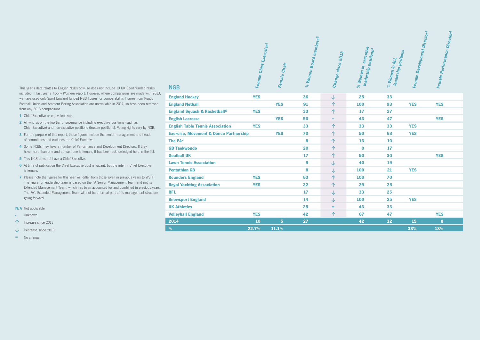This year's data relates to English NGBs only, so does not include 10 UK Sport funded NGBs included in last year's Trophy Women? report. However, where comparisons are made with 2013, we have used only Sport England funded NGB figures for comparability. Figures from Rugby Football Union and Amateur Boxing Association are unavailable in 2014, so have been removed from any 2013 comparisons.

- **1** Chief Executive or equivalent role.
- **2** All who sit on the top tier of governance including executive positions (such as Chief Executive) and non-executive positions (trustee positions). Voting rights vary by NGB.
- **3** For the purpose of this report, these figures include the senior management and heads of committees and excludes the Chief Executive.
- **4** Some NGBs may have a number of Performance and Development Directors. If they have more than one and at least one is female, it has been acknowledged here in the list.
- **5** This NGB does not have a Chief Executive.
- **6** At time of publication the Chief Executive post is vacant, but the interim Chief Executive is female.
- **7** Please note the figures for this year will differ from those given in previous years to WSFF. The figure for leadership team is based on the FA Senior Management Team and not its Extended Management Team, which has been accounted for and combined in previous years. The FA's Extended Management Team will not be a formal part of its management structure going forward.
- **N/A** Not applicable
- **-** Unknown
- $\uparrow$  Increase since 2013
- Decrease since 2013
- **=** No change

| <b>NGB</b>                                         | Female Chief Executive1 | Female Chair | % Women Board members2 | Change since 2013 | % Women in executive<br>leadership position <sub>s</sub> 3 | leadership positions<br>$\%$ Women in ALL | Female Development Director <sup>4</sup> | Female Performance Director <sup>4</sup> |
|----------------------------------------------------|-------------------------|--------------|------------------------|-------------------|------------------------------------------------------------|-------------------------------------------|------------------------------------------|------------------------------------------|
| <b>England Hockey</b>                              | <b>YES</b>              |              | 36                     | $\downarrow$      | 25                                                         | 33                                        |                                          |                                          |
| <b>England Netball</b>                             |                         | <b>YES</b>   | 91                     | 个                 | 100                                                        | 93                                        | <b>YES</b>                               | <b>YES</b>                               |
| <b>England Squash &amp; Racketball<sup>6</sup></b> | <b>YES</b>              |              | 33                     | 个                 | 17                                                         | 27                                        |                                          |                                          |
| <b>English Lacrosse</b>                            |                         | <b>YES</b>   | 50                     | $=$               | 43                                                         | 47                                        |                                          | <b>YES</b>                               |
| <b>English Table Tennis Association</b>            | <b>YES</b>              |              | 33                     | 个                 | 33                                                         | 33                                        | <b>YES</b>                               |                                          |
| <b>Exercise, Movement &amp; Dance Partnership</b>  |                         | <b>YES</b>   | 70                     | 个                 | 50                                                         | 63                                        | <b>YES</b>                               |                                          |
| The FA7                                            |                         |              | 8                      | $\uparrow$        | 13                                                         | 10                                        |                                          |                                          |
| <b>GB Taekwondo</b>                                |                         |              | 20                     | 个                 | $\bf{0}$                                                   | 17                                        |                                          |                                          |
| <b>Goalball UK</b>                                 |                         |              | 17                     | 个                 | 50                                                         | 30                                        |                                          | <b>YES</b>                               |
| <b>Lawn Tennis Association</b>                     |                         |              | 9                      | ↓                 | 40                                                         | 19                                        |                                          |                                          |
| <b>Pentathlon GB</b>                               |                         |              | 8                      | ↓                 | 100                                                        | 21                                        | <b>YES</b>                               |                                          |
| <b>Rounders England</b>                            | <b>YES</b>              |              | 63                     | 个                 | 100                                                        | 70                                        |                                          |                                          |
| <b>Royal Yachting Association</b>                  | <b>YES</b>              |              | 22                     | 个                 | 29                                                         | 25                                        |                                          |                                          |
| <b>RFL</b>                                         |                         |              | 17                     | ↓                 | 33                                                         | 25                                        |                                          |                                          |
| <b>Snowsport England</b>                           |                         |              | 14                     | ↓                 | 100                                                        | 25                                        | <b>YES</b>                               |                                          |
| <b>UK Athletics</b>                                |                         |              | 25                     | $=$               | 43                                                         | 33                                        |                                          |                                          |
| <b>Volleyball England</b>                          | <b>YES</b>              |              | 42                     | 个                 | 67                                                         | 47                                        |                                          | <b>YES</b>                               |
| 2014                                               | 10                      | 5            | 27                     |                   | 42                                                         | 32                                        | 15                                       | 8                                        |
| $\%$                                               | 22.7%                   | 11.1%        |                        |                   |                                                            |                                           | 33%                                      | 18%                                      |